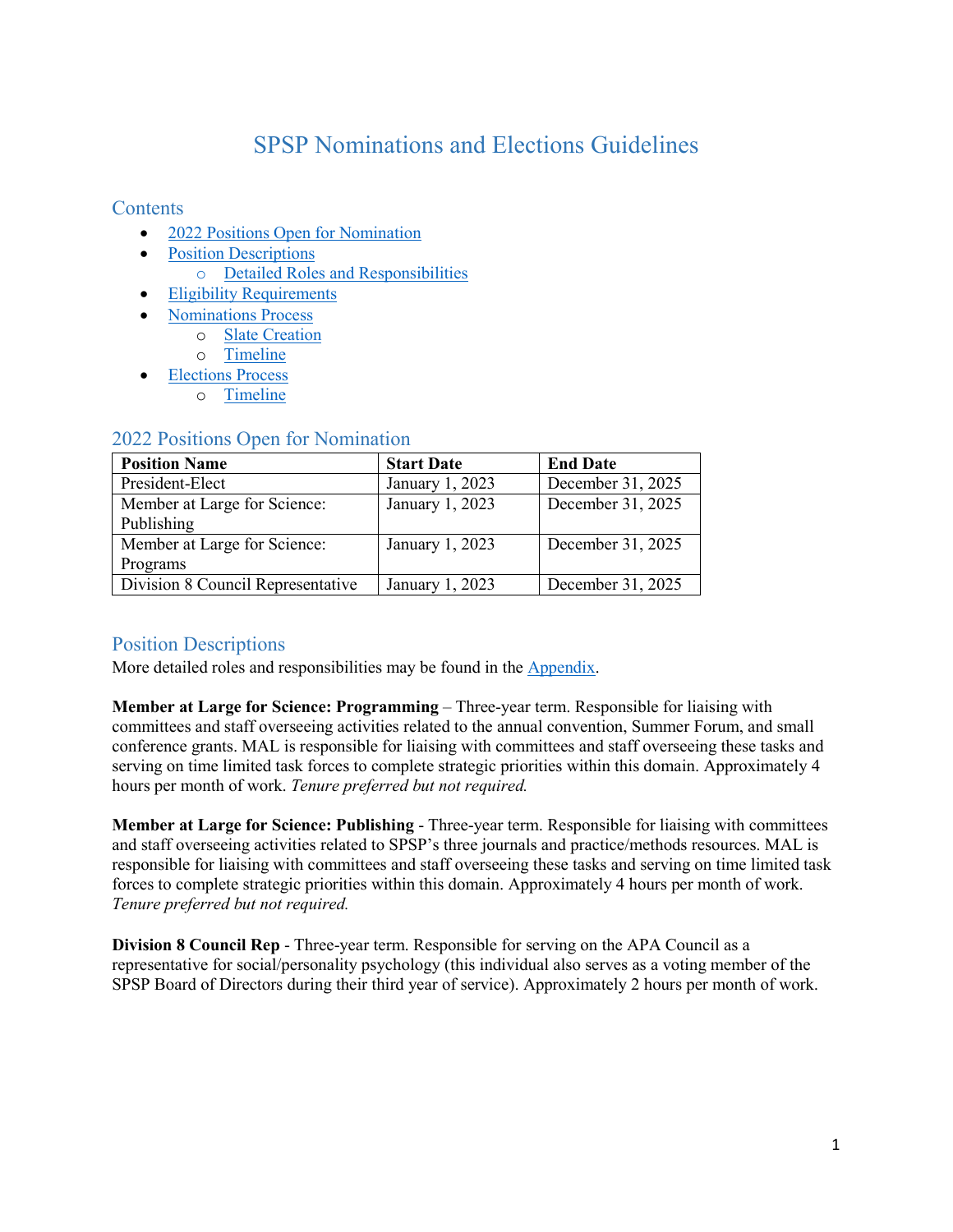# SPSP Nominations and Elections Guidelines

# **Contents**

- 2022 [Positions Open for Nomination](#page-0-0)
- [Position Descriptions](#page-0-0)
	- o [Detailed Roles and Responsibilities](#page-4-0)
- [Eligibility Requirements](#page-1-0)
- [Nominations Process](#page-1-1)
	- o [Slate Creation](#page-2-0)
	- o [Timeline](#page-2-1)
- [Elections Process](#page-2-2)
	- o [Timeline](#page-3-0)

| <b>Position Name</b>              | <b>Start Date</b> | <b>End Date</b>   |
|-----------------------------------|-------------------|-------------------|
| President-Elect                   | January 1, 2023   | December 31, 2025 |
| Member at Large for Science:      | January 1, 2023   | December 31, 2025 |
| Publishing                        |                   |                   |
| Member at Large for Science:      | January 1, 2023   | December 31, 2025 |
| Programs                          |                   |                   |
| Division 8 Council Representative | January 1, 2023   | December 31, 2025 |

#### <span id="page-0-0"></span>2022 Positions Open for Nomination

# Position Descriptions

More detailed roles and responsibilities may be found in the [Appendix.](#page-4-0)

**Member at Large for Science: Programming** – Three-year term. Responsible for liaising with committees and staff overseeing activities related to the annual convention, Summer Forum, and small conference grants. MAL is responsible for liaising with committees and staff overseeing these tasks and serving on time limited task forces to complete strategic priorities within this domain. Approximately 4 hours per month of work. *Tenure preferred but not required.*

**Member at Large for Science: Publishing** - Three-year term. Responsible for liaising with committees and staff overseeing activities related to SPSP's three journals and practice/methods resources. MAL is responsible for liaising with committees and staff overseeing these tasks and serving on time limited task forces to complete strategic priorities within this domain. Approximately 4 hours per month of work. *Tenure preferred but not required.*

**Division 8 Council Rep** - Three-year term. Responsible for serving on the APA Council as a representative for social/personality psychology (this individual also serves as a voting member of the SPSP Board of Directors during their third year of service). Approximately 2 hours per month of work.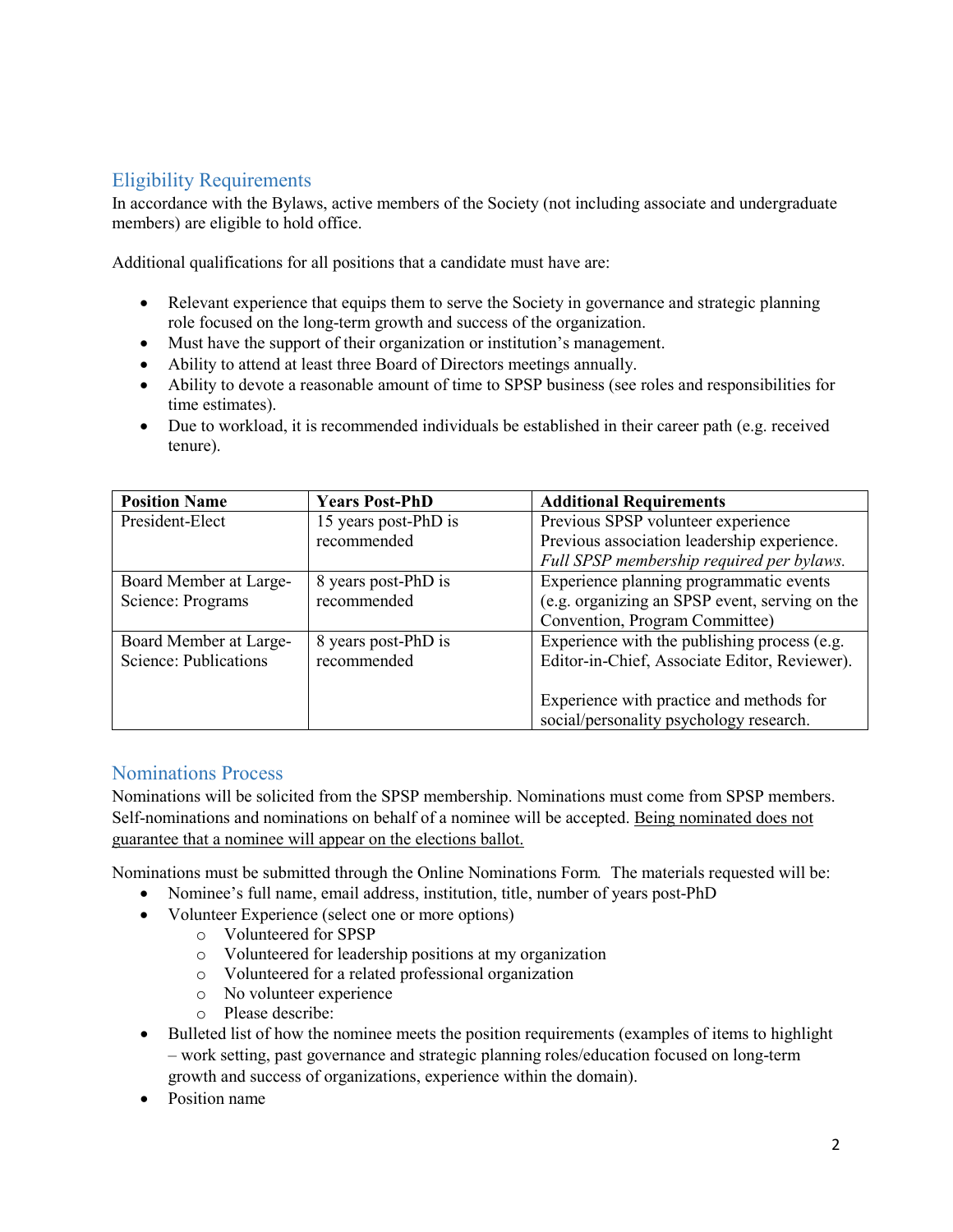# <span id="page-1-0"></span>Eligibility Requirements

In accordance with the Bylaws, active members of the Society (not including associate and undergraduate members) are eligible to hold office.

Additional qualifications for all positions that a candidate must have are:

- Relevant experience that equips them to serve the Society in governance and strategic planning role focused on the long-term growth and success of the organization.
- Must have the support of their organization or institution's management.
- Ability to attend at least three Board of Directors meetings annually.
- Ability to devote a reasonable amount of time to SPSP business (see roles and responsibilities for time estimates).
- Due to workload, it is recommended individuals be established in their career path (e.g. received tenure).

| <b>Position Name</b>   | <b>Years Post-PhD</b> | <b>Additional Requirements</b>                 |
|------------------------|-----------------------|------------------------------------------------|
| President-Elect        | 15 years post-PhD is  | Previous SPSP volunteer experience             |
|                        | recommended           | Previous association leadership experience.    |
|                        |                       | Full SPSP membership required per bylaws.      |
| Board Member at Large- | 8 years post-PhD is   | Experience planning programmatic events        |
| Science: Programs      | recommended           | (e.g. organizing an SPSP event, serving on the |
|                        |                       | Convention, Program Committee)                 |
| Board Member at Large- | 8 years post-PhD is   | Experience with the publishing process (e.g.   |
| Science: Publications  | recommended           | Editor-in-Chief, Associate Editor, Reviewer).  |
|                        |                       |                                                |
|                        |                       | Experience with practice and methods for       |
|                        |                       | social/personality psychology research.        |

# <span id="page-1-1"></span>Nominations Process

Nominations will be solicited from the SPSP membership. Nominations must come from SPSP members. Self-nominations and nominations on behalf of a nominee will be accepted. Being nominated does not guarantee that a nominee will appear on the elections ballot.

Nominations must be submitted through the Online Nominations Form*.* The materials requested will be:

- Nominee's full name, email address, institution, title, number of years post-PhD
- Volunteer Experience (select one or more options)
	- o Volunteered for SPSP
	- o Volunteered for leadership positions at my organization
	- o Volunteered for a related professional organization
	- o No volunteer experience
	- o Please describe:
- Bulleted list of how the nominee meets the position requirements (examples of items to highlight – work setting, past governance and strategic planning roles/education focused on long-term growth and success of organizations, experience within the domain).
- Position name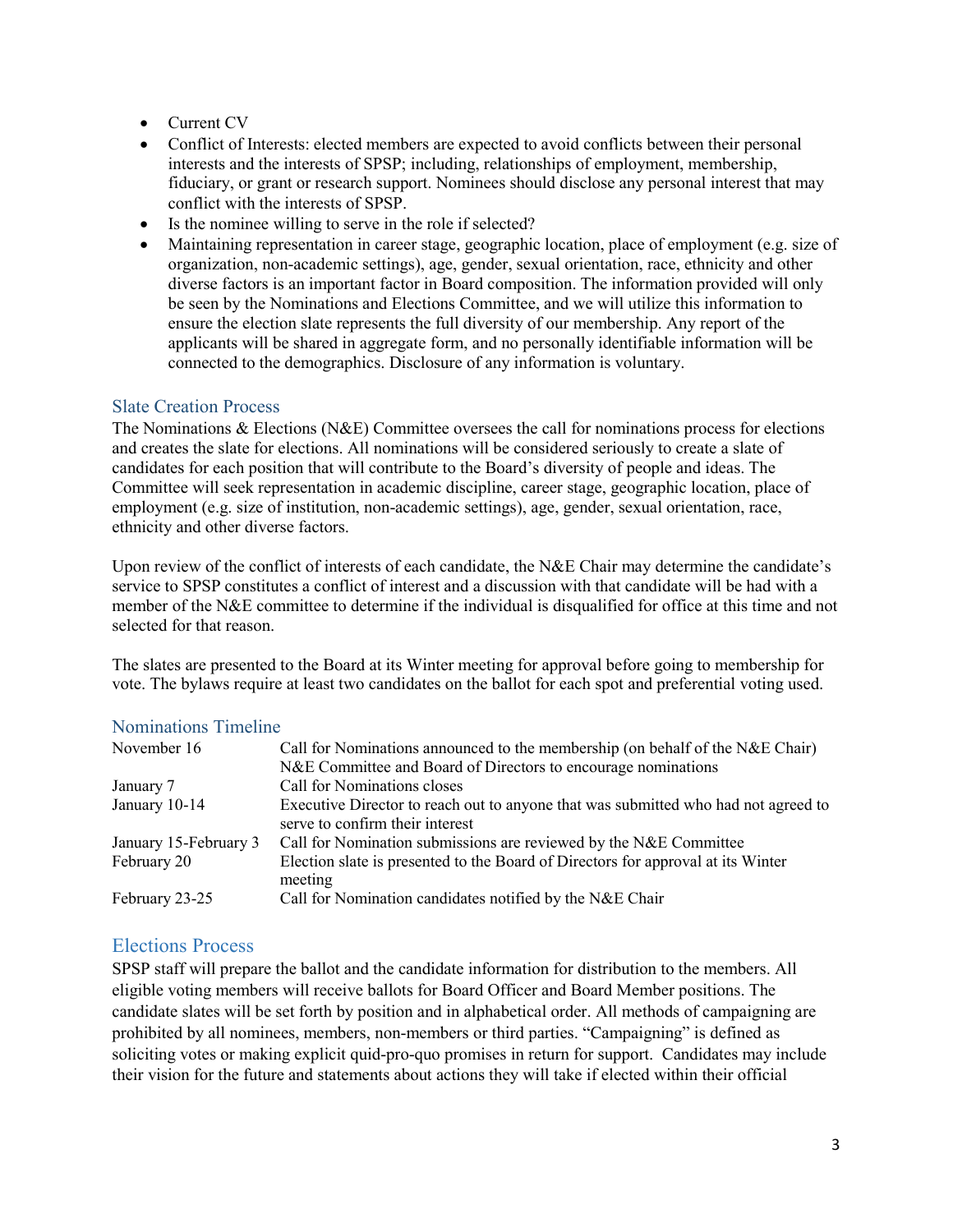- Current CV
- Conflict of Interests: elected members are expected to avoid conflicts between their personal interests and the interests of SPSP; including, relationships of employment, membership, fiduciary, or grant or research support. Nominees should disclose any personal interest that may conflict with the interests of SPSP.
- Is the nominee willing to serve in the role if selected?
- Maintaining representation in career stage, geographic location, place of employment (e.g. size of organization, non-academic settings), age, gender, sexual orientation, race, ethnicity and other diverse factors is an important factor in Board composition. The information provided will only be seen by the Nominations and Elections Committee, and we will utilize this information to ensure the election slate represents the full diversity of our membership. Any report of the applicants will be shared in aggregate form, and no personally identifiable information will be connected to the demographics. Disclosure of any information is voluntary.

# <span id="page-2-0"></span>Slate Creation Process

The Nominations & Elections (N&E) Committee oversees the call for nominations process for elections and creates the slate for elections. All nominations will be considered seriously to create a slate of candidates for each position that will contribute to the Board's diversity of people and ideas. The Committee will seek representation in academic discipline, career stage, geographic location, place of employment (e.g. size of institution, non-academic settings), age, gender, sexual orientation, race, ethnicity and other diverse factors.

Upon review of the conflict of interests of each candidate, the N&E Chair may determine the candidate's service to SPSP constitutes a conflict of interest and a discussion with that candidate will be had with a member of the N&E committee to determine if the individual is disqualified for office at this time and not selected for that reason.

The slates are presented to the Board at its Winter meeting for approval before going to membership for vote. The bylaws require at least two candidates on the ballot for each spot and preferential voting used.

#### <span id="page-2-1"></span>Nominations Timeline

| November 16           | Call for Nominations announced to the membership (on behalf of the N&E Chair)                                         |
|-----------------------|-----------------------------------------------------------------------------------------------------------------------|
|                       | N&E Committee and Board of Directors to encourage nominations                                                         |
| January 7             | Call for Nominations closes                                                                                           |
| January 10-14         | Executive Director to reach out to anyone that was submitted who had not agreed to<br>serve to confirm their interest |
| January 15-February 3 | Call for Nomination submissions are reviewed by the N&E Committee                                                     |
| February 20           | Election slate is presented to the Board of Directors for approval at its Winter<br>meeting                           |
| February 23-25        | Call for Nomination candidates notified by the N&E Chair                                                              |

# <span id="page-2-2"></span>Elections Process

SPSP staff will prepare the ballot and the candidate information for distribution to the members. All eligible voting members will receive ballots for Board Officer and Board Member positions. The candidate slates will be set forth by position and in alphabetical order. All methods of campaigning are prohibited by all nominees, members, non-members or third parties. "Campaigning" is defined as soliciting votes or making explicit quid-pro-quo promises in return for support. Candidates may include their vision for the future and statements about actions they will take if elected within their official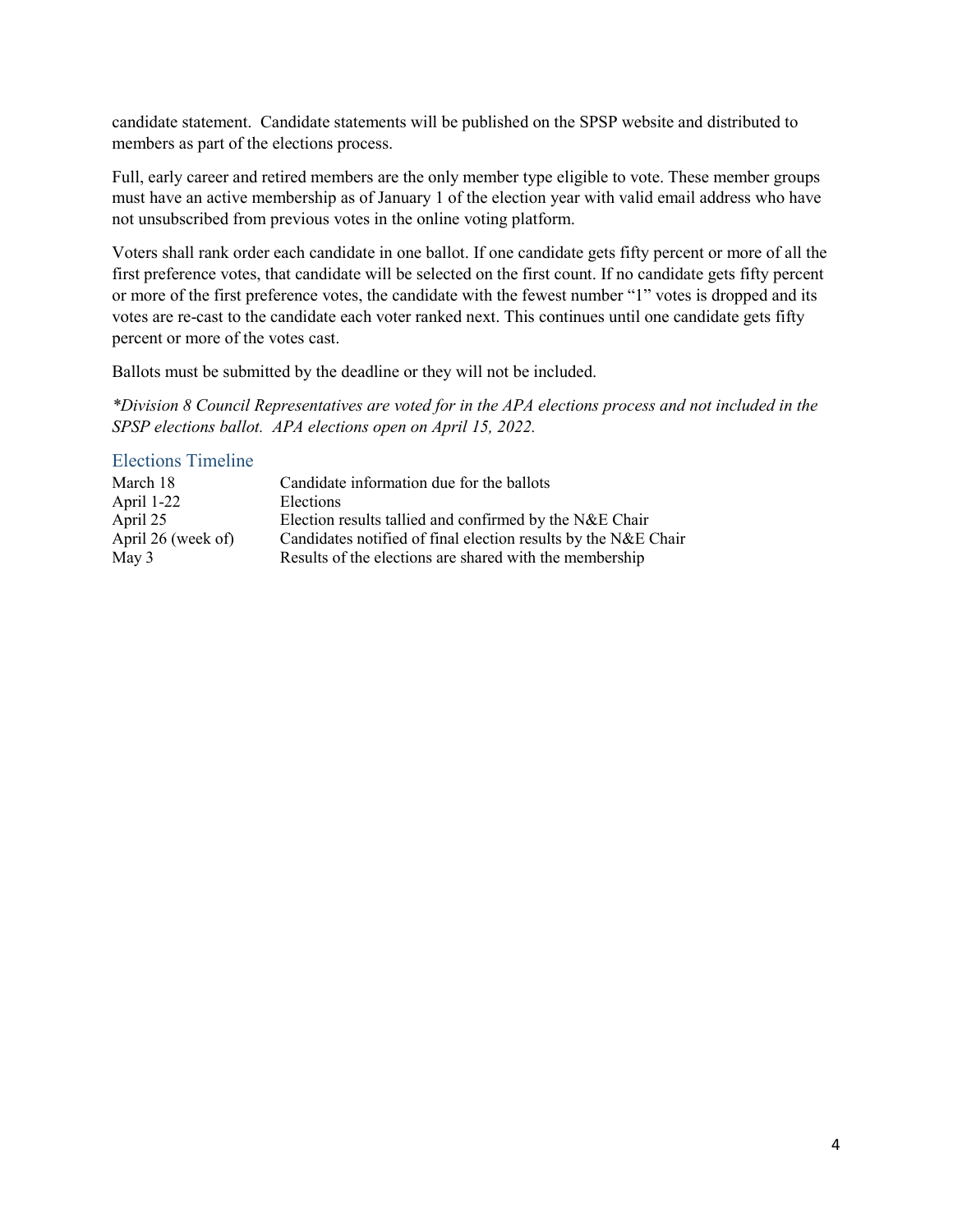candidate statement. Candidate statements will be published on the SPSP website and distributed to members as part of the elections process.

Full, early career and retired members are the only member type eligible to vote. These member groups must have an active membership as of January 1 of the election year with valid email address who have not unsubscribed from previous votes in the online voting platform.

Voters shall rank order each candidate in one ballot. If one candidate gets fifty percent or more of all the first preference votes, that candidate will be selected on the first count. If no candidate gets fifty percent or more of the first preference votes, the candidate with the fewest number "1" votes is dropped and its votes are re-cast to the candidate each voter ranked next. This continues until one candidate gets fifty percent or more of the votes cast.

Ballots must be submitted by the deadline or they will not be included.

*\*Division 8 Council Representatives are voted for in the APA elections process and not included in the SPSP elections ballot. APA elections open on April 15, 2022.*

#### <span id="page-3-0"></span>Elections Timeline

| March 18           | Candidate information due for the ballots                      |
|--------------------|----------------------------------------------------------------|
| April 1-22         | Elections                                                      |
| April 25           | Election results tallied and confirmed by the N&E Chair        |
| April 26 (week of) | Candidates notified of final election results by the N&E Chair |
| May 3              | Results of the elections are shared with the membership        |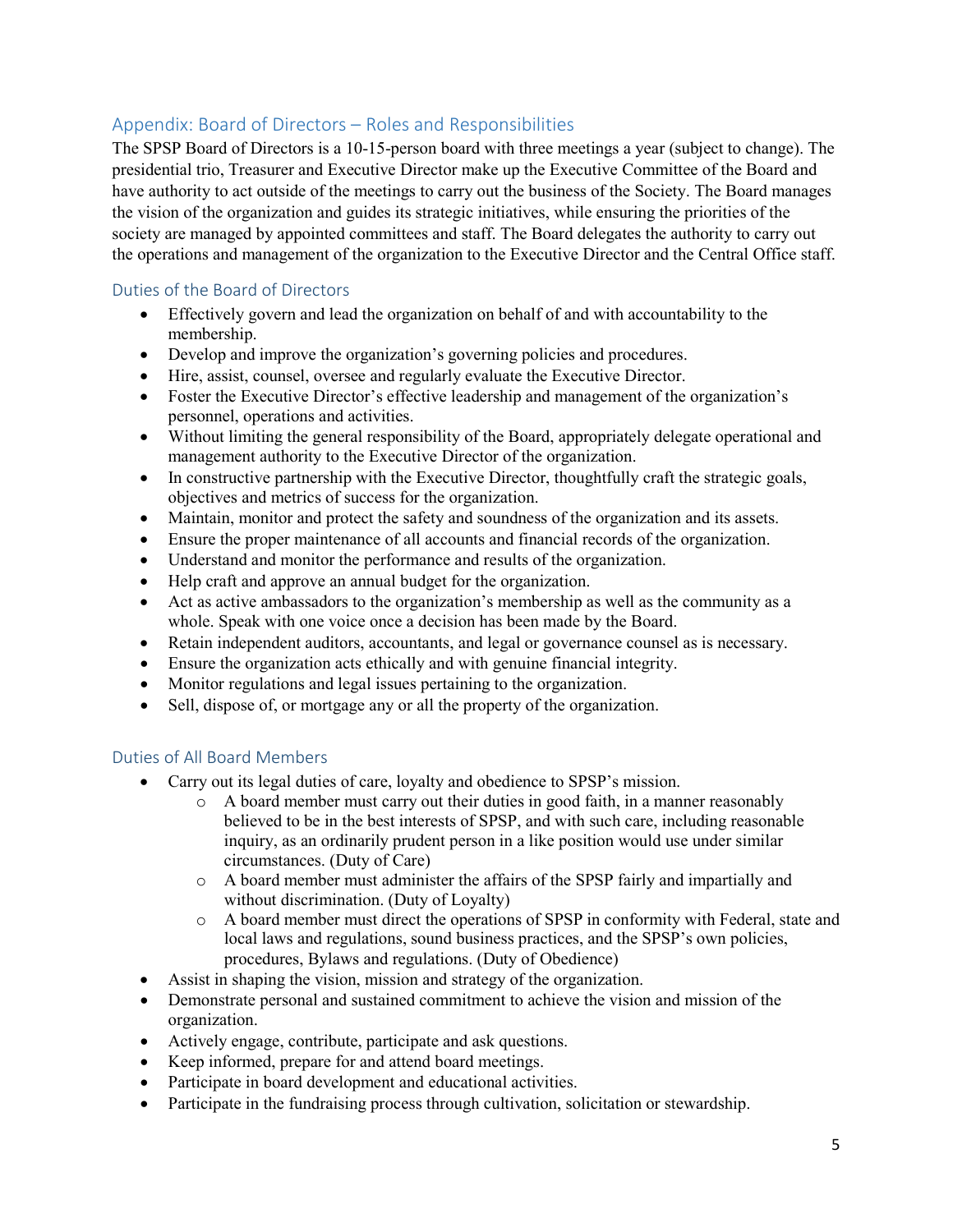# <span id="page-4-0"></span>Appendix: Board of Directors – Roles and Responsibilities

The SPSP Board of Directors is a 10-15-person board with three meetings a year (subject to change). The presidential trio, Treasurer and Executive Director make up the Executive Committee of the Board and have authority to act outside of the meetings to carry out the business of the Society. The Board manages the vision of the organization and guides its strategic initiatives, while ensuring the priorities of the society are managed by appointed committees and staff. The Board delegates the authority to carry out the operations and management of the organization to the Executive Director and the Central Office staff.

# Duties of the Board of Directors

- Effectively govern and lead the organization on behalf of and with accountability to the membership.
- Develop and improve the organization's governing policies and procedures.
- Hire, assist, counsel, oversee and regularly evaluate the Executive Director.
- Foster the Executive Director's effective leadership and management of the organization's personnel, operations and activities.
- Without limiting the general responsibility of the Board, appropriately delegate operational and management authority to the Executive Director of the organization.
- In constructive partnership with the Executive Director, thoughtfully craft the strategic goals, objectives and metrics of success for the organization.
- Maintain, monitor and protect the safety and soundness of the organization and its assets.
- Ensure the proper maintenance of all accounts and financial records of the organization.
- Understand and monitor the performance and results of the organization.
- Help craft and approve an annual budget for the organization.
- Act as active ambassadors to the organization's membership as well as the community as a whole. Speak with one voice once a decision has been made by the Board.
- Retain independent auditors, accountants, and legal or governance counsel as is necessary.
- Ensure the organization acts ethically and with genuine financial integrity.
- Monitor regulations and legal issues pertaining to the organization.
- Sell, dispose of, or mortgage any or all the property of the organization.

# Duties of All Board Members

- Carry out its legal duties of care, loyalty and obedience to SPSP's mission.
	- o A board member must carry out their duties in good faith, in a manner reasonably believed to be in the best interests of SPSP, and with such care, including reasonable inquiry, as an ordinarily prudent person in a like position would use under similar circumstances. (Duty of Care)
	- o A board member must administer the affairs of the SPSP fairly and impartially and without discrimination. (Duty of Loyalty)
	- o A board member must direct the operations of SPSP in conformity with Federal, state and local laws and regulations, sound business practices, and the SPSP's own policies, procedures, Bylaws and regulations. (Duty of Obedience)
- Assist in shaping the vision, mission and strategy of the organization.
- Demonstrate personal and sustained commitment to achieve the vision and mission of the organization.
- Actively engage, contribute, participate and ask questions.
- Keep informed, prepare for and attend board meetings.
- Participate in board development and educational activities.
- Participate in the fundraising process through cultivation, solicitation or stewardship.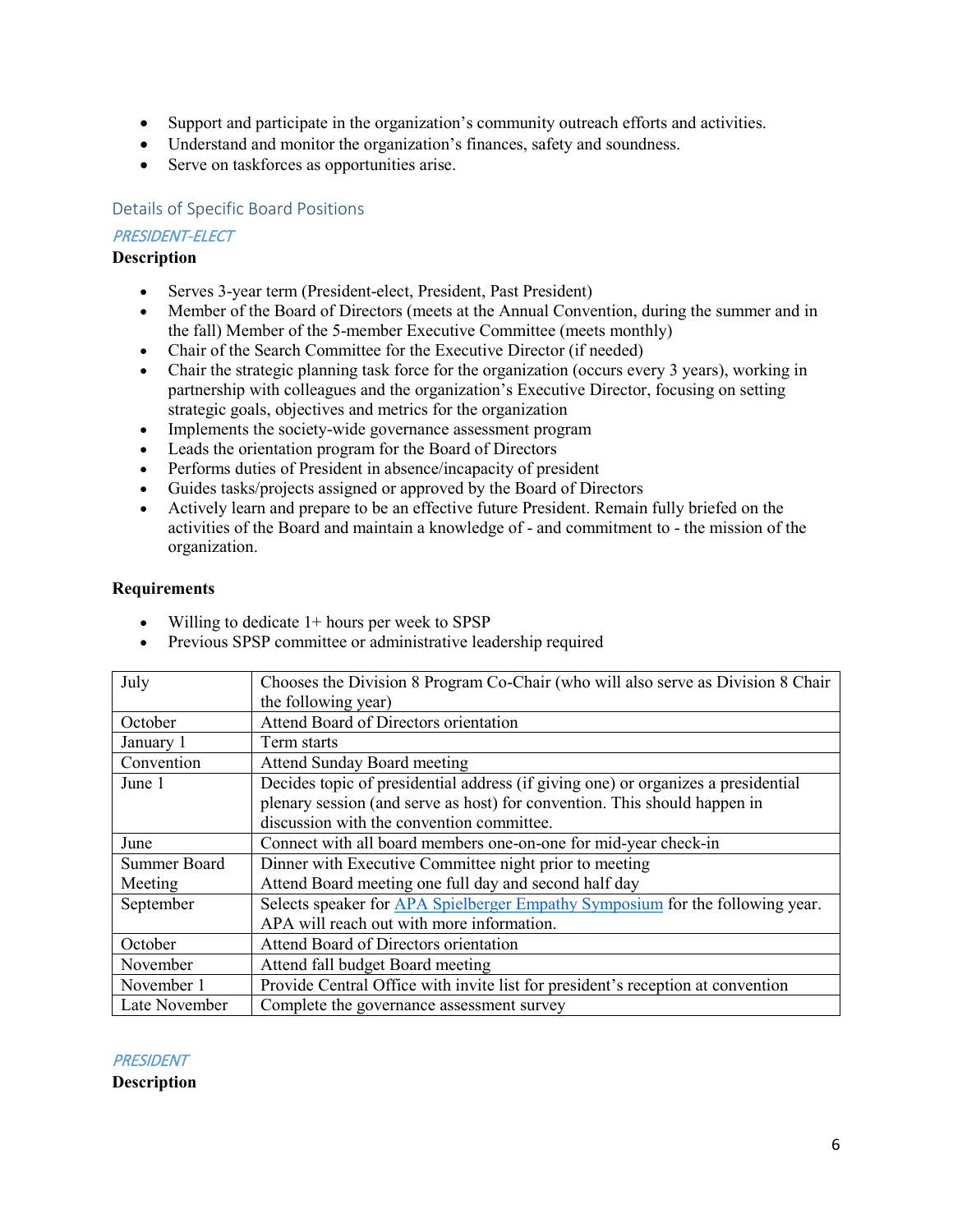- Support and participate in the organization's community outreach efforts and activities.
- Understand and monitor the organization's finances, safety and soundness.
- Serve on taskforces as opportunities arise.

#### Details of Specific Board Positions

#### PRESIDENT-ELECT

#### **Description**

- Serves 3-year term (President-elect, President, Past President)
- Member of the Board of Directors (meets at the Annual Convention, during the summer and in the fall) Member of the 5-member Executive Committee (meets monthly)
- Chair of the Search Committee for the Executive Director (if needed)
- Chair the strategic planning task force for the organization (occurs every 3 years), working in partnership with colleagues and the organization's Executive Director, focusing on setting strategic goals, objectives and metrics for the organization
- Implements the society-wide governance assessment program
- Leads the orientation program for the Board of Directors
- Performs duties of President in absence/incapacity of president
- Guides tasks/projects assigned or approved by the Board of Directors
- Actively learn and prepare to be an effective future President. Remain fully briefed on the activities of the Board and maintain a knowledge of - and commitment to - the mission of the organization.

#### **Requirements**

- Willing to dedicate 1+ hours per week to SPSP
- Previous SPSP committee or administrative leadership required

| July          | Chooses the Division 8 Program Co-Chair (who will also serve as Division 8 Chair  |
|---------------|-----------------------------------------------------------------------------------|
|               | the following year)                                                               |
| October       | Attend Board of Directors orientation                                             |
| January 1     | Term starts                                                                       |
| Convention    | <b>Attend Sunday Board meeting</b>                                                |
| June 1        | Decides topic of presidential address (if giving one) or organizes a presidential |
|               | plenary session (and serve as host) for convention. This should happen in         |
|               | discussion with the convention committee.                                         |
| June          | Connect with all board members one-on-one for mid-year check-in                   |
| Summer Board  | Dinner with Executive Committee night prior to meeting                            |
| Meeting       | Attend Board meeting one full day and second half day                             |
| September     | Selects speaker for APA Spielberger Empathy Symposium for the following year.     |
|               | APA will reach out with more information.                                         |
| October       | Attend Board of Directors orientation                                             |
| November      | Attend fall budget Board meeting                                                  |
| November 1    | Provide Central Office with invite list for president's reception at convention   |
| Late November | Complete the governance assessment survey                                         |

**PRESIDENT**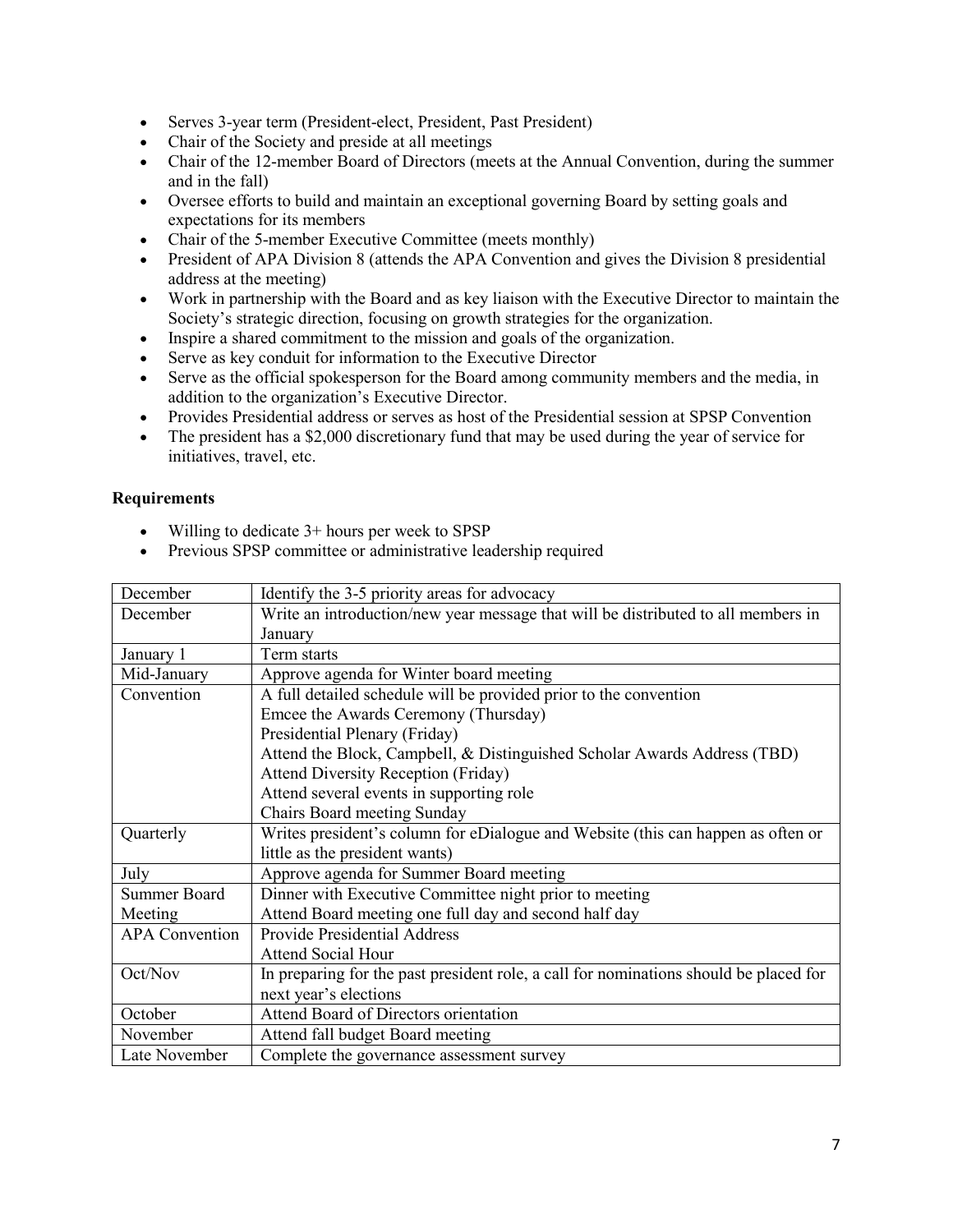- Serves 3-year term (President-elect, President, Past President)
- Chair of the Society and preside at all meetings
- Chair of the 12-member Board of Directors (meets at the Annual Convention, during the summer and in the fall)
- Oversee efforts to build and maintain an exceptional governing Board by setting goals and expectations for its members
- Chair of the 5-member Executive Committee (meets monthly)
- President of APA Division 8 (attends the APA Convention and gives the Division 8 presidential address at the meeting)
- Work in partnership with the Board and as key liaison with the Executive Director to maintain the Society's strategic direction, focusing on growth strategies for the organization.
- Inspire a shared commitment to the mission and goals of the organization.
- Serve as key conduit for information to the Executive Director
- Serve as the official spokesperson for the Board among community members and the media, in addition to the organization's Executive Director.
- Provides Presidential address or serves as host of the Presidential session at SPSP Convention
- The president has a \$2,000 discretionary fund that may be used during the year of service for initiatives, travel, etc.

- Willing to dedicate 3+ hours per week to SPSP
- Previous SPSP committee or administrative leadership required

| December              | Identify the 3-5 priority areas for advocacy                                          |
|-----------------------|---------------------------------------------------------------------------------------|
| December              | Write an introduction/new year message that will be distributed to all members in     |
|                       | January                                                                               |
| January 1             | Term starts                                                                           |
| Mid-January           | Approve agenda for Winter board meeting                                               |
| Convention            | A full detailed schedule will be provided prior to the convention                     |
|                       | Emcee the Awards Ceremony (Thursday)                                                  |
|                       | Presidential Plenary (Friday)                                                         |
|                       | Attend the Block, Campbell, & Distinguished Scholar Awards Address (TBD)              |
|                       | <b>Attend Diversity Reception (Friday)</b>                                            |
|                       | Attend several events in supporting role                                              |
|                       | Chairs Board meeting Sunday                                                           |
| Quarterly             | Writes president's column for eDialogue and Website (this can happen as often or      |
|                       | little as the president wants)                                                        |
| July                  | Approve agenda for Summer Board meeting                                               |
| <b>Summer Board</b>   | Dinner with Executive Committee night prior to meeting                                |
| Meeting               | Attend Board meeting one full day and second half day                                 |
| <b>APA</b> Convention | <b>Provide Presidential Address</b>                                                   |
|                       | <b>Attend Social Hour</b>                                                             |
| Oct/Nov               | In preparing for the past president role, a call for nominations should be placed for |
|                       | next year's elections                                                                 |
| October               | Attend Board of Directors orientation                                                 |
| November              | Attend fall budget Board meeting                                                      |
| Late November         | Complete the governance assessment survey                                             |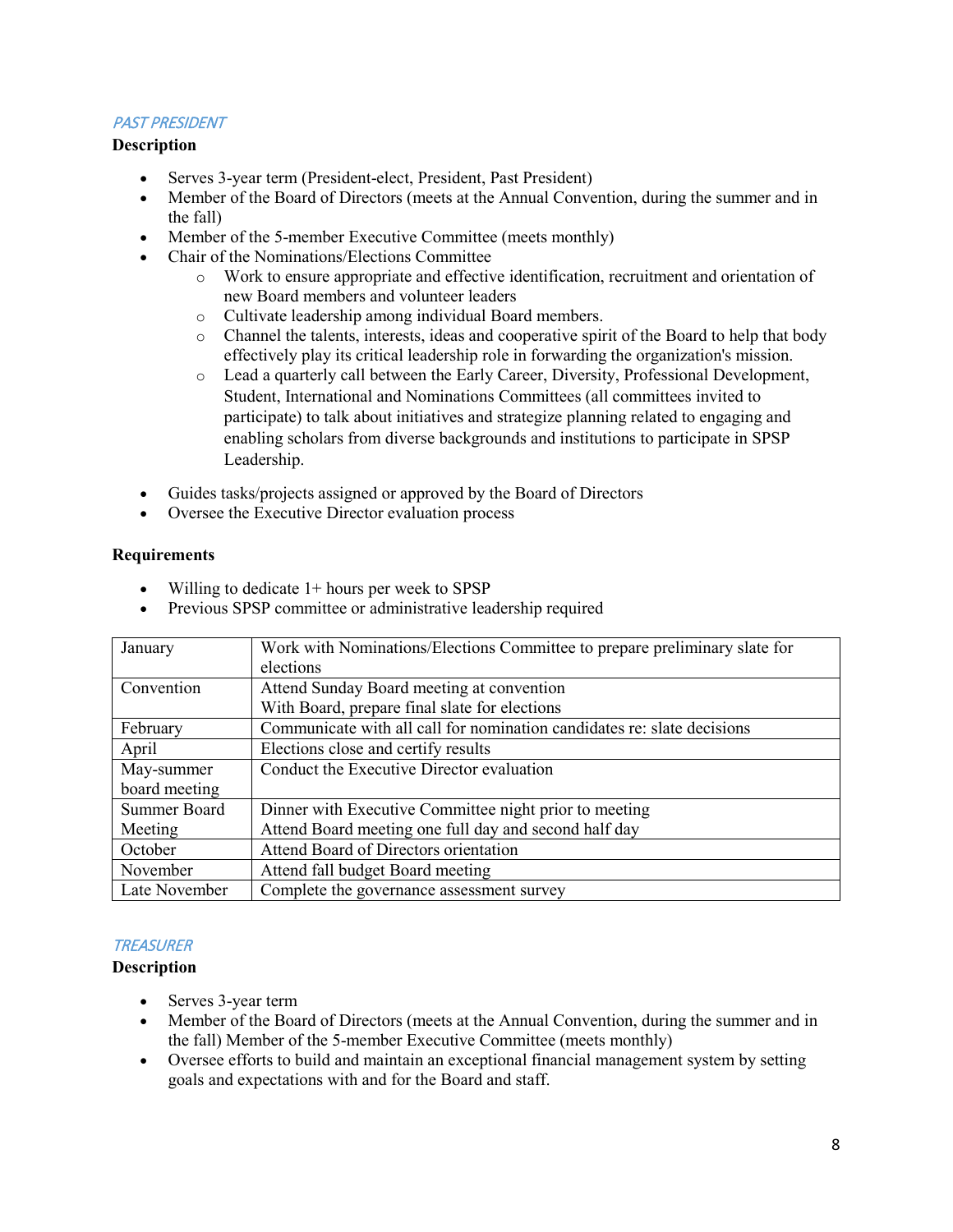# PAST PRESIDENT

# **Description**

- Serves 3-year term (President-elect, President, Past President)
- Member of the Board of Directors (meets at the Annual Convention, during the summer and in the fall)
- Member of the 5-member Executive Committee (meets monthly)
- Chair of the Nominations/Elections Committee
	- o Work to ensure appropriate and effective identification, recruitment and orientation of new Board members and volunteer leaders
	- o Cultivate leadership among individual Board members.
	- Channel the talents, interests, ideas and cooperative spirit of the Board to help that body effectively play its critical leadership role in forwarding the organization's mission.
	- o Lead a quarterly call between the Early Career, Diversity, Professional Development, Student, International and Nominations Committees (all committees invited to participate) to talk about initiatives and strategize planning related to engaging and enabling scholars from diverse backgrounds and institutions to participate in SPSP Leadership.
- Guides tasks/projects assigned or approved by the Board of Directors
- Oversee the Executive Director evaluation process

#### **Requirements**

- Willing to dedicate 1+ hours per week to SPSP
- Previous SPSP committee or administrative leadership required

| January             | Work with Nominations/Elections Committee to prepare preliminary slate for |
|---------------------|----------------------------------------------------------------------------|
|                     | elections                                                                  |
| Convention          | Attend Sunday Board meeting at convention                                  |
|                     | With Board, prepare final slate for elections                              |
| February            | Communicate with all call for nomination candidates re: slate decisions    |
| April               | Elections close and certify results                                        |
| May-summer          | Conduct the Executive Director evaluation                                  |
| board meeting       |                                                                            |
| <b>Summer Board</b> | Dinner with Executive Committee night prior to meeting                     |
| Meeting             | Attend Board meeting one full day and second half day                      |
| October             | Attend Board of Directors orientation                                      |
| November            | Attend fall budget Board meeting                                           |
| Late November       | Complete the governance assessment survey                                  |

# **TREASURER**

- Serves 3-year term
- Member of the Board of Directors (meets at the Annual Convention, during the summer and in the fall) Member of the 5-member Executive Committee (meets monthly)
- Oversee efforts to build and maintain an exceptional financial management system by setting goals and expectations with and for the Board and staff.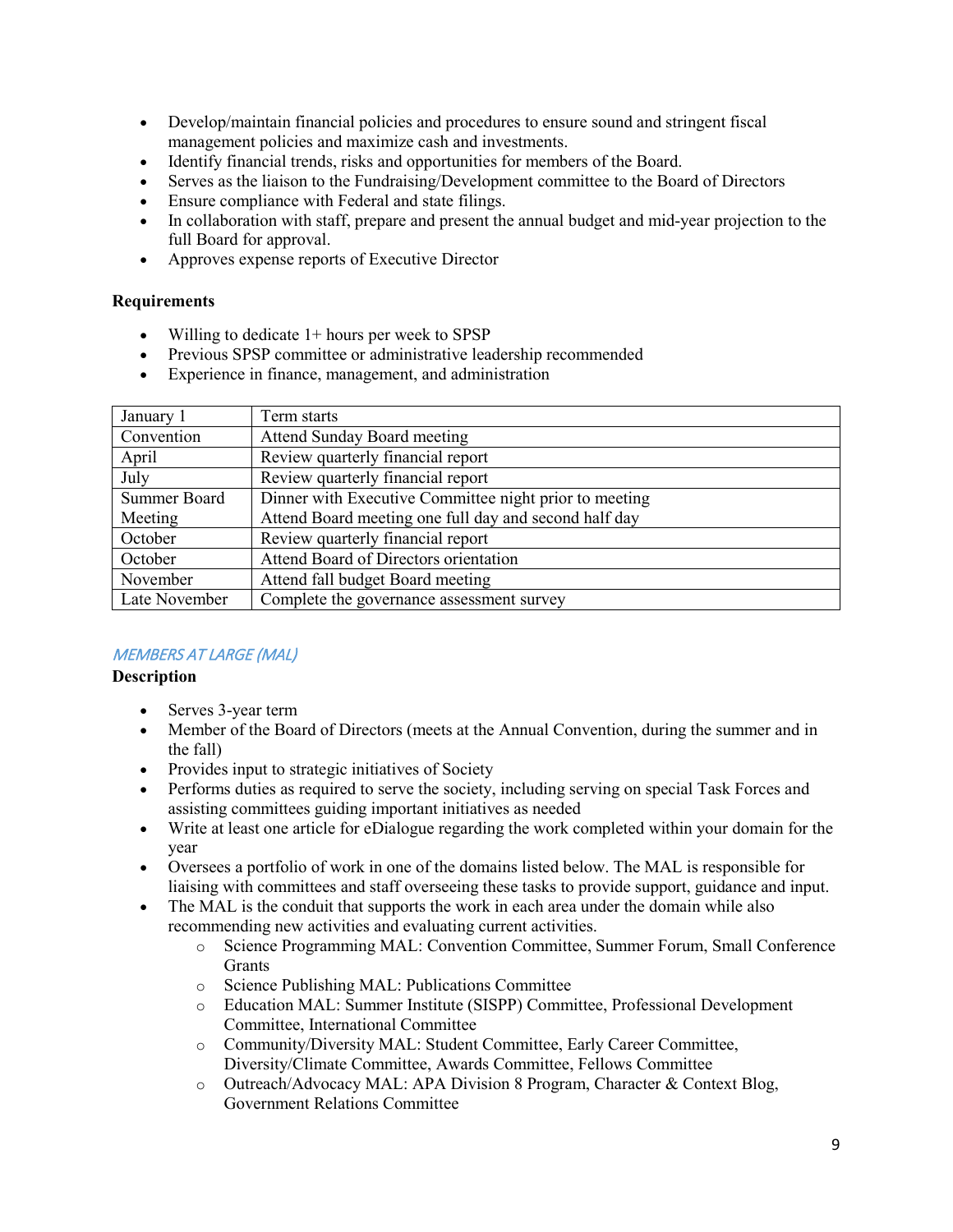- Develop/maintain financial policies and procedures to ensure sound and stringent fiscal management policies and maximize cash and investments.
- Identify financial trends, risks and opportunities for members of the Board.
- Serves as the liaison to the Fundraising/Development committee to the Board of Directors
- Ensure compliance with Federal and state filings.
- In collaboration with staff, prepare and present the annual budget and mid-year projection to the full Board for approval.
- Approves expense reports of Executive Director

- Willing to dedicate  $1+$  hours per week to SPSP
- Previous SPSP committee or administrative leadership recommended
- Experience in finance, management, and administration

| January 1           | Term starts                                            |
|---------------------|--------------------------------------------------------|
| Convention          | <b>Attend Sunday Board meeting</b>                     |
| April               | Review quarterly financial report                      |
| July                | Review quarterly financial report                      |
| <b>Summer Board</b> | Dinner with Executive Committee night prior to meeting |
| Meeting             | Attend Board meeting one full day and second half day  |
| October             | Review quarterly financial report                      |
| October             | Attend Board of Directors orientation                  |
| November            | Attend fall budget Board meeting                       |
| Late November       | Complete the governance assessment survey              |

# MEMBERS AT LARGE (MAL)

- Serves 3-year term
- Member of the Board of Directors (meets at the Annual Convention, during the summer and in the fall)
- Provides input to strategic initiatives of Society
- Performs duties as required to serve the society, including serving on special Task Forces and assisting committees guiding important initiatives as needed
- Write at least one article for eDialogue regarding the work completed within your domain for the year
- Oversees a portfolio of work in one of the domains listed below. The MAL is responsible for liaising with committees and staff overseeing these tasks to provide support, guidance and input.
- The MAL is the conduit that supports the work in each area under the domain while also recommending new activities and evaluating current activities.
	- o Science Programming MAL: Convention Committee, Summer Forum, Small Conference Grants
	- o Science Publishing MAL: Publications Committee
	- o Education MAL: Summer Institute (SISPP) Committee, Professional Development Committee, International Committee
	- o Community/Diversity MAL: Student Committee, Early Career Committee, Diversity/Climate Committee, Awards Committee, Fellows Committee
	- o Outreach/Advocacy MAL: APA Division 8 Program, Character & Context Blog, Government Relations Committee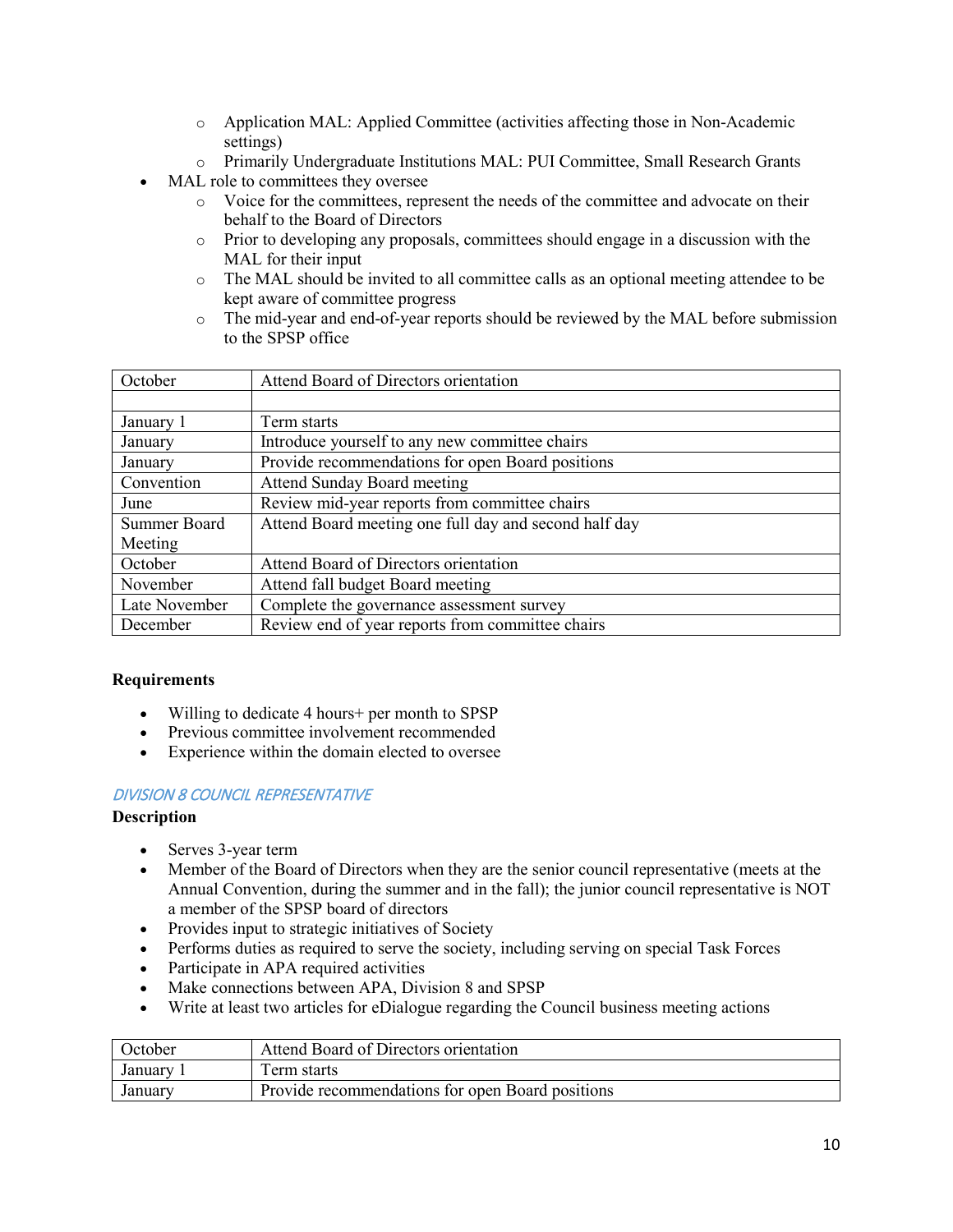- o Application MAL: Applied Committee (activities affecting those in Non-Academic settings)
- o Primarily Undergraduate Institutions MAL: PUI Committee, Small Research Grants
- MAL role to committees they oversee
	- o Voice for the committees, represent the needs of the committee and advocate on their behalf to the Board of Directors
	- o Prior to developing any proposals, committees should engage in a discussion with the MAL for their input
	- o The MAL should be invited to all committee calls as an optional meeting attendee to be kept aware of committee progress
	- o The mid-year and end-of-year reports should be reviewed by the MAL before submission to the SPSP office

| October       | Attend Board of Directors orientation                 |
|---------------|-------------------------------------------------------|
|               |                                                       |
| January 1     | Term starts                                           |
| January       | Introduce yourself to any new committee chairs        |
| January       | Provide recommendations for open Board positions      |
| Convention    | <b>Attend Sunday Board meeting</b>                    |
| June          | Review mid-year reports from committee chairs         |
| Summer Board  | Attend Board meeting one full day and second half day |
| Meeting       |                                                       |
| October       | Attend Board of Directors orientation                 |
| November      | Attend fall budget Board meeting                      |
| Late November | Complete the governance assessment survey             |
| December      | Review end of year reports from committee chairs      |

- Willing to dedicate 4 hours+ per month to SPSP
- Previous committee involvement recommended
- Experience within the domain elected to oversee

#### DIVISION 8 COUNCIL REPRESENTATIVE

- Serves 3-year term
- Member of the Board of Directors when they are the senior council representative (meets at the Annual Convention, during the summer and in the fall); the junior council representative is NOT a member of the SPSP board of directors
- Provides input to strategic initiatives of Society
- Performs duties as required to serve the society, including serving on special Task Forces
- Participate in APA required activities
- Make connections between APA, Division 8 and SPSP
- Write at least two articles for eDialogue regarding the Council business meeting actions

| October | Attend Board of Directors orientation            |
|---------|--------------------------------------------------|
| January | Ferm starts                                      |
| January | Provide recommendations for open Board positions |